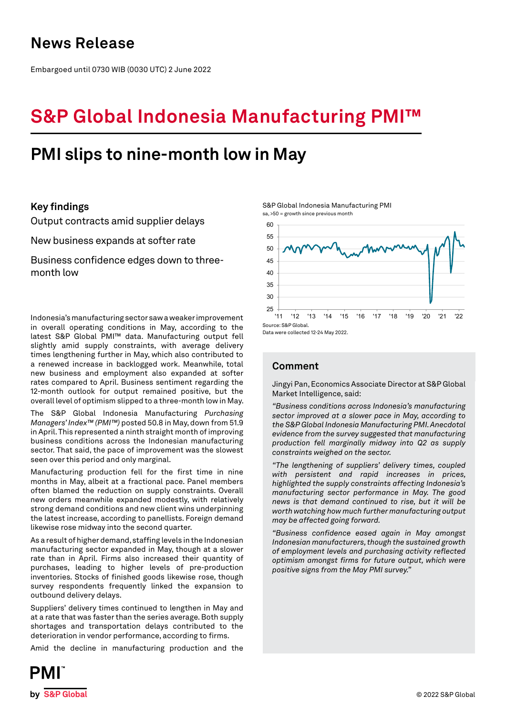## **News Release**

Embargoed until 0730 WIB (0030 UTC) 2 June 2022

# **S&P Global Indonesia Manufacturing PMI™**

# **PMI slips to nine-month low in May**

## **Key findings**

Output contracts amid supplier delays

New business expands at softer rate

Business confidence edges down to threemonth low

Indonesia's manufacturing sector saw a weaker improvement in overall operating conditions in May, according to the latest S&P Global PMI™ data. Manufacturing output fell slightly amid supply constraints, with average delivery times lengthening further in May, which also contributed to a renewed increase in backlogged work. Meanwhile, total new business and employment also expanded at softer rates compared to April. Business sentiment regarding the 12-month outlook for output remained positive, but the overall level of optimism slipped to a three-month low in May.

The S&P Global Indonesia Manufacturing *Purchasing Managers' Index™ (PMI™)* posted 50.8 in May, down from 51.9 in April. This represented a ninth straight month of improving business conditions across the Indonesian manufacturing sector. That said, the pace of improvement was the slowest seen over this period and only marginal.

Manufacturing production fell for the first time in nine months in May, albeit at a fractional pace. Panel members often blamed the reduction on supply constraints. Overall new orders meanwhile expanded modestly, with relatively strong demand conditions and new client wins underpinning the latest increase, according to panellists. Foreign demand likewise rose midway into the second quarter.

As a result of higher demand, staffing levels in the Indonesian manufacturing sector expanded in May, though at a slower rate than in April. Firms also increased their quantity of purchases, leading to higher levels of pre-production inventories. Stocks of finished goods likewise rose, though survey respondents frequently linked the expansion to outbound delivery delays.

Suppliers' delivery times continued to lengthen in May and at a rate that was faster than the series average. Both supply shortages and transportation delays contributed to the deterioration in vendor performance, according to firms.

Amid the decline in manufacturing production and the

S&P Global Indonesia Manufacturing PMI sa, >50 = growth since previous month



Data were collected 12-24 May 2022.

## **Comment**

Jingyi Pan, Economics Associate Director at S&P Global Market Intelligence, said:

*"Business conditions across Indonesia's manufacturing sector improved at a slower pace in May, according to the S&P Global Indonesia Manufacturing PMI. Anecdotal evidence from the survey suggested that manufacturing production fell marginally midway into Q2 as supply constraints weighed on the sector.* 

*"The lengthening of suppliers' delivery times, coupled with persistent and rapid increases in prices, highlighted the supply constraints affecting Indonesia's manufacturing sector performance in May. The good news is that demand continued to rise, but it will be worth watching how much further manufacturing output may be affected going forward.* 

*"Business confidence eased again in May amongst Indonesian manufacturers, though the sustained growth of employment levels and purchasing activity reflected optimism amongst firms for future output, which were positive signs from the May PMI survey."*